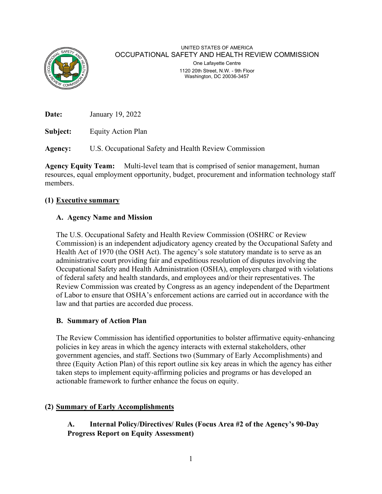

# UNITED STATES OF AMERICA OCCUPATIONAL SAFETY AND HEALTH REVIEW COMMISSION One Lafayette Centre

1120 20th Street, N.W. - 9th Floor Washington, DC 20036-3457

**Date:** January 19, 2022

**Subject:** Equity Action Plan

**Agency:** U.S. Occupational Safety and Health Review Commission

**Agency Equity Team:** Multi-level team that is comprised of senior management, human resources, equal employment opportunity, budget, procurement and information technology staff members.

## **(1) Executive summary**

## **A. Agency Name and Mission**

The U.S. Occupational Safety and Health Review Commission (OSHRC or Review Commission) is an independent adjudicatory agency created by the Occupational Safety and Health Act of 1970 (the OSH Act). The agency's sole statutory mandate is to serve as an administrative court providing fair and expeditious resolution of disputes involving the Occupational Safety and Health Administration (OSHA), employers charged with violations of federal safety and health standards, and employees and/or their representatives. The Review Commission was created by Congress as an agency independent of the Department of Labor to ensure that OSHA's enforcement actions are carried out in accordance with the law and that parties are accorded due process.

## **B. Summary of Action Plan**

The Review Commission has identified opportunities to bolster affirmative equity-enhancing policies in key areas in which the agency interacts with external stakeholders, other government agencies, and staff. Sections two (Summary of Early Accomplishments) and three (Equity Action Plan) of this report outline six key areas in which the agency has either taken steps to implement equity-affirming policies and programs or has developed an actionable framework to further enhance the focus on equity.

# **(2) Summary of Early Accomplishments**

**A. Internal Policy/Directives/ Rules (Focus Area #2 of the Agency's 90-Day Progress Report on Equity Assessment)**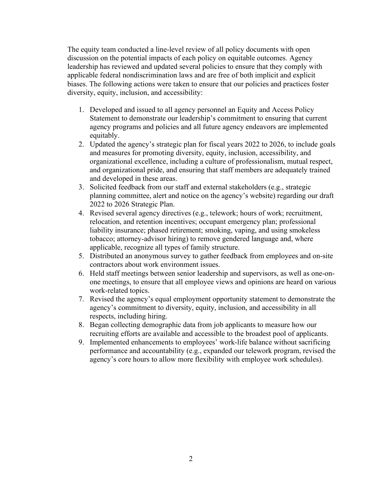The equity team conducted a line-level review of all policy documents with open discussion on the potential impacts of each policy on equitable outcomes. Agency leadership has reviewed and updated several policies to ensure that they comply with applicable federal nondiscrimination laws and are free of both implicit and explicit biases. The following actions were taken to ensure that our policies and practices foster diversity, equity, inclusion, and accessibility:

- 1. Developed and issued to all agency personnel an Equity and Access Policy Statement to demonstrate our leadership's commitment to ensuring that current agency programs and policies and all future agency endeavors are implemented equitably.
- 2. Updated the agency's strategic plan for fiscal years 2022 to 2026, to include goals and measures for promoting diversity, equity, inclusion, accessibility, and organizational excellence, including a culture of professionalism, mutual respect, and organizational pride, and ensuring that staff members are adequately trained and developed in these areas.
- 3. Solicited feedback from our staff and external stakeholders (e.g., strategic planning committee, alert and notice on the agency's website) regarding our draft 2022 to 2026 Strategic Plan.
- 4. Revised several agency directives (e.g., telework; hours of work; recruitment, relocation, and retention incentives; occupant emergency plan; professional liability insurance; phased retirement; smoking, vaping, and using smokeless tobacco; attorney-advisor hiring) to remove gendered language and, where applicable, recognize all types of family structure.
- 5. Distributed an anonymous survey to gather feedback from employees and on-site contractors about work environment issues.
- 6. Held staff meetings between senior leadership and supervisors, as well as one-onone meetings, to ensure that all employee views and opinions are heard on various work-related topics.
- 7. Revised the agency's equal employment opportunity statement to demonstrate the agency's commitment to diversity, equity, inclusion, and accessibility in all respects, including hiring.
- 8. Began collecting demographic data from job applicants to measure how our recruiting efforts are available and accessible to the broadest pool of applicants.
- 9. Implemented enhancements to employees' work-life balance without sacrificing performance and accountability (e.g., expanded our telework program, revised the agency's core hours to allow more flexibility with employee work schedules).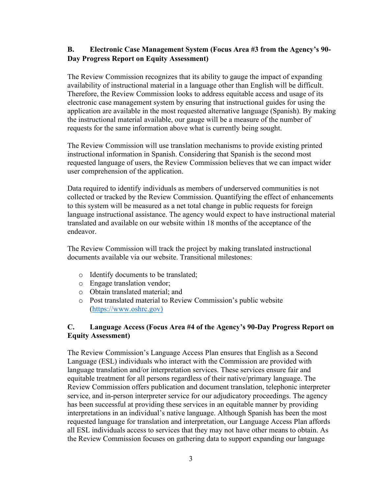## **B. Electronic Case Management System (Focus Area #3 from the Agency's 90- Day Progress Report on Equity Assessment)**

The Review Commission recognizes that its ability to gauge the impact of expanding availability of instructional material in a language other than English will be difficult. Therefore, the Review Commission looks to address equitable access and usage of its electronic case management system by ensuring that instructional guides for using the application are available in the most requested alternative language (Spanish). By making the instructional material available, our gauge will be a measure of the number of requests for the same information above what is currently being sought.

The Review Commission will use translation mechanisms to provide existing printed instructional information in Spanish. Considering that Spanish is the second most requested language of users, the Review Commission believes that we can impact wider user comprehension of the application.

Data required to identify individuals as members of underserved communities is not collected or tracked by the Review Commission. Quantifying the effect of enhancements to this system will be measured as a net total change in public requests for foreign language instructional assistance. The agency would expect to have instructional material translated and available on our website within 18 months of the acceptance of the endeavor.

The Review Commission will track the project by making translated instructional documents available via our website. Transitional milestones:

- o Identify documents to be translated;
- o Engage translation vendor;
- o Obtain translated material; and
- o Post translated material to Review Commission's public website [\(https://www.oshrc.gov\)](https://www.oshrc.gov/)

## **C. Language Access (Focus Area #4 of the Agency's 90-Day Progress Report on Equity Assessment)**

The Review Commission's Language Access Plan ensures that English as a Second Language (ESL) individuals who interact with the Commission are provided with language translation and/or interpretation services. These services ensure fair and equitable treatment for all persons regardless of their native/primary language. The Review Commission offers publication and document translation, telephonic interpreter service, and in-person interpreter service for our adjudicatory proceedings. The agency has been successful at providing these services in an equitable manner by providing interpretations in an individual's native language. Although Spanish has been the most requested language for translation and interpretation, our Language Access Plan affords all ESL individuals access to services that they may not have other means to obtain. As the Review Commission focuses on gathering data to support expanding our language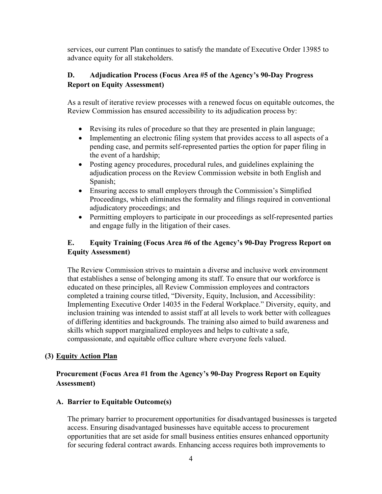services, our current Plan continues to satisfy the mandate of Executive Order 13985 to advance equity for all stakeholders.

## **D. Adjudication Process (Focus Area #5 of the Agency's 90-Day Progress Report on Equity Assessment)**

As a result of iterative review processes with a renewed focus on equitable outcomes, the Review Commission has ensured accessibility to its adjudication process by:

- Revising its rules of procedure so that they are presented in plain language;
- Implementing an electronic filing system that provides access to all aspects of a pending case, and permits self-represented parties the option for paper filing in the event of a hardship;
- Posting agency procedures, procedural rules, and guidelines explaining the adjudication process on the Review Commission website in both English and Spanish;
- Ensuring access to small employers through the Commission's Simplified Proceedings, which eliminates the formality and filings required in conventional adjudicatory proceedings; and
- Permitting employers to participate in our proceedings as self-represented parties and engage fully in the litigation of their cases.

## **E. Equity Training (Focus Area #6 of the Agency's 90-Day Progress Report on Equity Assessment)**

The Review Commission strives to maintain a diverse and inclusive work environment that establishes a sense of belonging among its staff. To ensure that our workforce is educated on these principles, all Review Commission employees and contractors completed a training course titled, "Diversity, Equity, Inclusion, and Accessibility: Implementing Executive Order 14035 in the Federal Workplace." Diversity, equity, and inclusion training was intended to assist staff at all levels to work better with colleagues of differing identities and backgrounds. The training also aimed to build awareness and skills which support marginalized employees and helps to cultivate a safe, compassionate, and equitable office culture where everyone feels valued.

## **(3) Equity Action Plan**

## **Procurement (Focus Area #1 from the Agency's 90-Day Progress Report on Equity Assessment)**

## **A. Barrier to Equitable Outcome(s)**

The primary barrier to procurement opportunities for disadvantaged businesses is targeted access. Ensuring disadvantaged businesses have equitable access to procurement opportunities that are set aside for small business entities ensures enhanced opportunity for securing federal contract awards. Enhancing access requires both improvements to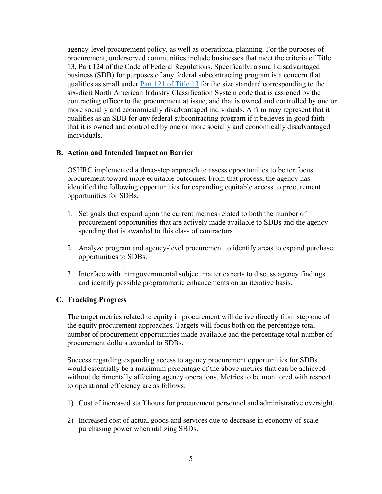agency-level procurement policy, as well as operational planning. For the purposes of procurement, underserved communities include businesses that meet the criteria of Title 13, Part 124 of the Code of Federal Regulations. Specifically, a small disadvantaged business (SDB) for purposes of any federal subcontracting program is a concern that qualifies as small under [Part 121 of Title 13](https://ecfr.federalregister.gov/current/title-13/part-121) for the size standard corresponding to the six-digit North American Industry Classification System code that is assigned by the contracting officer to the procurement at issue, and that is owned and controlled by one or more socially and economically disadvantaged individuals. A firm may represent that it qualifies as an SDB for any federal subcontracting program if it believes in good faith that it is owned and controlled by one or more socially and economically disadvantaged individuals.

### **B. Action and Intended Impact on Barrier**

OSHRC implemented a three-step approach to assess opportunities to better focus procurement toward more equitable outcomes. From that process, the agency has identified the following opportunities for expanding equitable access to procurement opportunities for SDBs.

- 1. Set goals that expand upon the current metrics related to both the number of procurement opportunities that are actively made available to SDBs and the agency spending that is awarded to this class of contractors.
- 2. Analyze program and agency-level procurement to identify areas to expand purchase opportunities to SDBs.
- 3. Interface with intragovernmental subject matter experts to discuss agency findings and identify possible programmatic enhancements on an iterative basis.

#### **C. Tracking Progress**

The target metrics related to equity in procurement will derive directly from step one of the equity procurement approaches. Targets will focus both on the percentage total number of procurement opportunities made available and the percentage total number of procurement dollars awarded to SDBs.

Success regarding expanding access to agency procurement opportunities for SDBs would essentially be a maximum percentage of the above metrics that can be achieved without detrimentally affecting agency operations. Metrics to be monitored with respect to operational efficiency are as follows:

- 1) Cost of increased staff hours for procurement personnel and administrative oversight.
- 2) Increased cost of actual goods and services due to decrease in economy-of-scale purchasing power when utilizing SBDs.